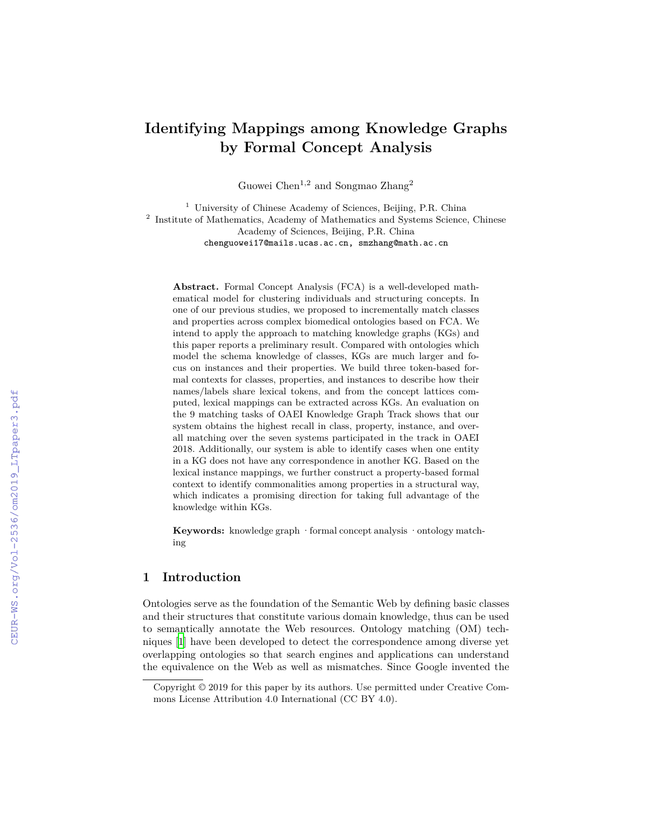# **Identifying Mappings among Knowledge Graphs by Formal Concept Analysis**

Guowei Chen<sup>1,2</sup> and Songmao Zhang<sup>2</sup>

<sup>1</sup> University of Chinese Academy of Sciences, Beijing, P.R. China <sup>2</sup> Institute of Mathematics, Academy of Mathematics and Systems Science, Chinese Academy of Sciences, Beijing, P.R. China chenguowei17@mails.ucas.ac.cn, smzhang@math.ac.cn

**Abstract.** Formal Concept Analysis (FCA) is a well-developed mathematical model for clustering individuals and structuring concepts. In one of our previous studies, we proposed to incrementally match classes and properties across complex biomedical ontologies based on FCA. We intend to apply the approach to matching knowledge graphs (KGs) and this paper reports a preliminary result. Compared with ontologies which model the schema knowledge of classes, KGs are much larger and focus on instances and their properties. We build three token-based formal contexts for classes, properties, and instances to describe how their names/labels share lexical tokens, and from the concept lattices computed, lexical mappings can be extracted across KGs. An evaluation on the 9 matching tasks of OAEI Knowledge Graph Track shows that our system obtains the highest recall in class, property, instance, and overall matching over the seven systems participated in the track in OAEI 2018. Additionally, our system is able to identify cases when one entity in a KG does not have any correspondence in another KG. Based on the lexical instance mappings, we further construct a property-based formal context to identify commonalities among properties in a structural way, which indicates a promising direction for taking full advantage of the knowledge within KGs.

**Keywords:** knowledge graph ·formal concept analysis ·ontology matching

# **1 Introduction**

Ontologies serve as the foundation of the Semantic Web by defining basic classes and their structures that constitute various domain knowledge, thus can be used to semantically annotate the Web resources. Ontology matching (OM) techniques [\[1](#page--1-0)] have been developed to detect the correspondence among diverse yet overlapping ontologies so that search engines and applications can understand the equivalence on the Web as well as mismatches. Since Google invented the

Copyright © 2019 for this paper by its authors. Use permitted under Creative Commons License Attribution 4.0 International (CC BY 4.0).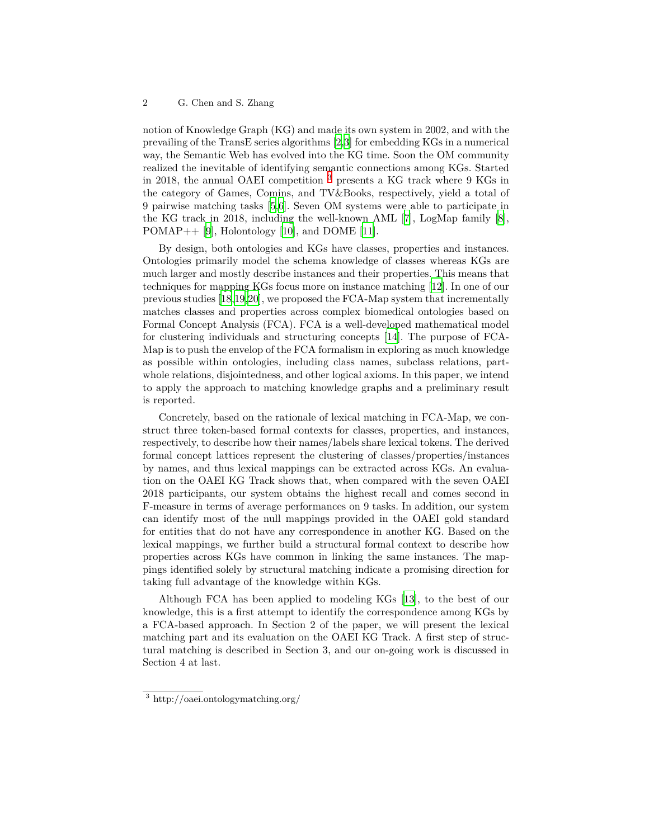notion of Knowledge Graph (KG) and made its own system in 2002, and with the prevailing of the TransE series algorithms [[2,](#page-9-0)[3\]](#page-9-1) for embedding KGs in a numerical way, the Semantic Web has evolved into the KG time. Soon the OM community realized the inevitable of identifying semantic connections among KGs. Started in 2018, the annual OAEI competition [3](#page-1-0) presents a KG track where 9 KGs in the category of Games, Comins, and TV&Books, respectively, yield a total of 9 pairwise matching tasks [\[5](#page-9-2),[6\]](#page-9-3). Seven OM systems were able to participate in the KG track in 2018, including the well-known AML [[7\]](#page-9-4), LogMap family [\[8](#page-9-5)],  $POMAP++ [9]$  $POMAP++ [9]$  $POMAP++ [9]$ , Holontology [[10](#page-10-1)], and DOME [\[11](#page-10-2)].

By design, both ontologies and KGs have classes, properties and instances. Ontologies primarily model the schema knowledge of classes whereas KGs are much larger and mostly describe instances and their properties. This means that techniques for mapping KGs focus more on instance matching [\[12](#page-10-3)]. In one of our previous studies [[18](#page-10-4)[,19](#page-10-5),[20\]](#page-10-6), we proposed the FCA-Map system that incrementally matches classes and properties across complex biomedical ontologies based on Formal Concept Analysis (FCA). FCA is a well-developed mathematical model for clustering individuals and structuring concepts [\[14](#page-10-7)]. The purpose of FCA-Map is to push the envelop of the FCA formalism in exploring as much knowledge as possible within ontologies, including class names, subclass relations, partwhole relations, disjointedness, and other logical axioms. In this paper, we intend to apply the approach to matching knowledge graphs and a preliminary result is reported.

Concretely, based on the rationale of lexical matching in FCA-Map, we construct three token-based formal contexts for classes, properties, and instances, respectively, to describe how their names/labels share lexical tokens. The derived formal concept lattices represent the clustering of classes/properties/instances by names, and thus lexical mappings can be extracted across KGs. An evaluation on the OAEI KG Track shows that, when compared with the seven OAEI 2018 participants, our system obtains the highest recall and comes second in F-measure in terms of average performances on 9 tasks. In addition, our system can identify most of the null mappings provided in the OAEI gold standard for entities that do not have any correspondence in another KG. Based on the lexical mappings, we further build a structural formal context to describe how properties across KGs have common in linking the same instances. The mappings identified solely by structural matching indicate a promising direction for taking full advantage of the knowledge within KGs.

Although FCA has been applied to modeling KGs [\[13](#page-10-8)], to the best of our knowledge, this is a first attempt to identify the correspondence among KGs by a FCA-based approach. In Section 2 of the paper, we will present the lexical matching part and its evaluation on the OAEI KG Track. A first step of structural matching is described in Section 3, and our on-going work is discussed in Section 4 at last.

<span id="page-1-0"></span><sup>3</sup> http://oaei.ontologymatching.org/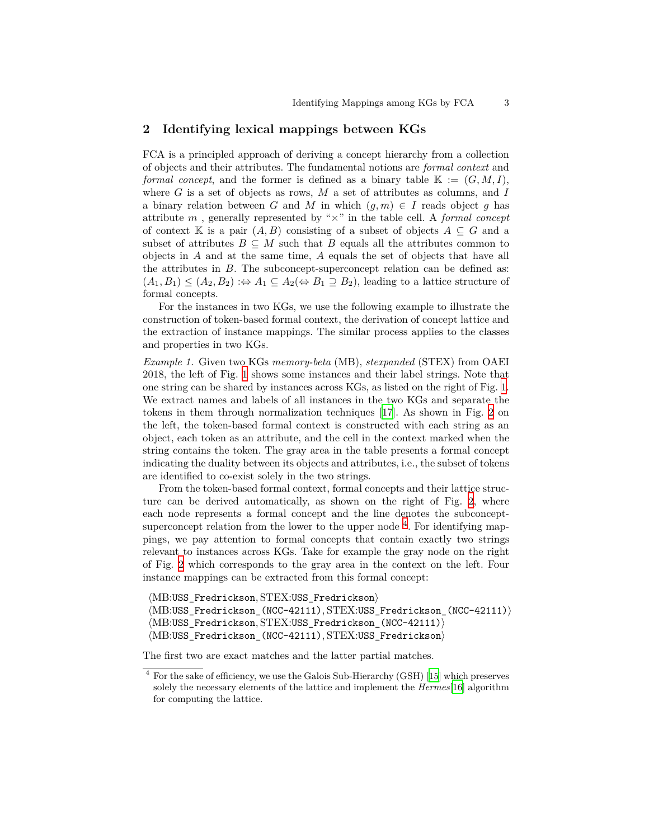### **2 Identifying lexical mappings between KGs**

FCA is a principled approach of deriving a concept hierarchy from a collection of objects and their attributes. The fundamental notions are *formal context* and *formal concept*, and the former is defined as a binary table  $\mathbb{K} := (G, M, I)$ , where *G* is a set of objects as rows, *M* a set of attributes as columns, and *I* a binary relation between *G* and *M* in which  $(q, m) \in I$  reads object *q* has attribute *m* , generally represented by "*×*" in the table cell. A *formal concept* of context K is a pair  $(A, B)$  consisting of a subset of objects  $A \subseteq G$  and a subset of attributes  $B \subseteq M$  such that *B* equals all the attributes common to objects in *A* and at the same time, *A* equals the set of objects that have all the attributes in *B*. The subconcept-superconcept relation can be defined as:  $(A_1, B_1) \leq (A_2, B_2) : \Leftrightarrow A_1 \subseteq A_2(\Leftrightarrow B_1 \supseteq B_2)$ , leading to a lattice structure of formal concepts.

For the instances in two KGs, we use the following example to illustrate the construction of token-based formal context, the derivation of concept lattice and the extraction of instance mappings. The similar process applies to the classes and properties in two KGs.

*Example 1.* Given two KGs *memory-beta* (MB), *stexpanded* (STEX) from OAEI 2018, the left of Fig. [1](#page-3-0) shows some instances and their label strings. Note that one string can be shared by instances across KGs, as listed on the right of Fig. [1.](#page-3-0) We extract names and labels of all instances in the two KGs and separate the tokens in them through normalization techniques [[17\]](#page-10-9). As shown in Fig. [2](#page-3-1) on the left, the token-based formal context is constructed with each string as an object, each token as an attribute, and the cell in the context marked when the string contains the token. The gray area in the table presents a formal concept indicating the duality between its objects and attributes, i.e., the subset of tokens are identified to co-exist solely in the two strings.

From the token-based formal context, formal concepts and their lattice structure can be derived automatically, as shown on the right of Fig. [2,](#page-3-1) where each node represents a formal concept and the line denotes the subconceptsuperconcept relation from the lower to the upper node  $4$ . For identifying mappings, we pay attention to formal concepts that contain exactly two strings relevant to instances across KGs. Take for example the gray node on the right of Fig. [2](#page-3-1) which corresponds to the gray area in the context on the left. Four instance mappings can be extracted from this formal concept:

```
⟨MB:USS_Fredrickson, STEX:USS_Fredrickson⟩
⟨MB:USS_Fredrickson_(NCC-42111), STEX:USS_Fredrickson_(NCC-42111)⟩
⟨MB:USS_Fredrickson, STEX:USS_Fredrickson_(NCC-42111)⟩
⟨MB:USS_Fredrickson_(NCC-42111), STEX:USS_Fredrickson⟩
```
The first two are exact matches and the latter partial matches.

<span id="page-2-0"></span><sup>4</sup> For the sake of efficiency, we use the Galois Sub-Hierarchy (GSH) [[15](#page-10-10)] which preserves solely the necessary elements of the lattice and implement the *Hermes*[\[16](#page-10-11)] algorithm for computing the lattice.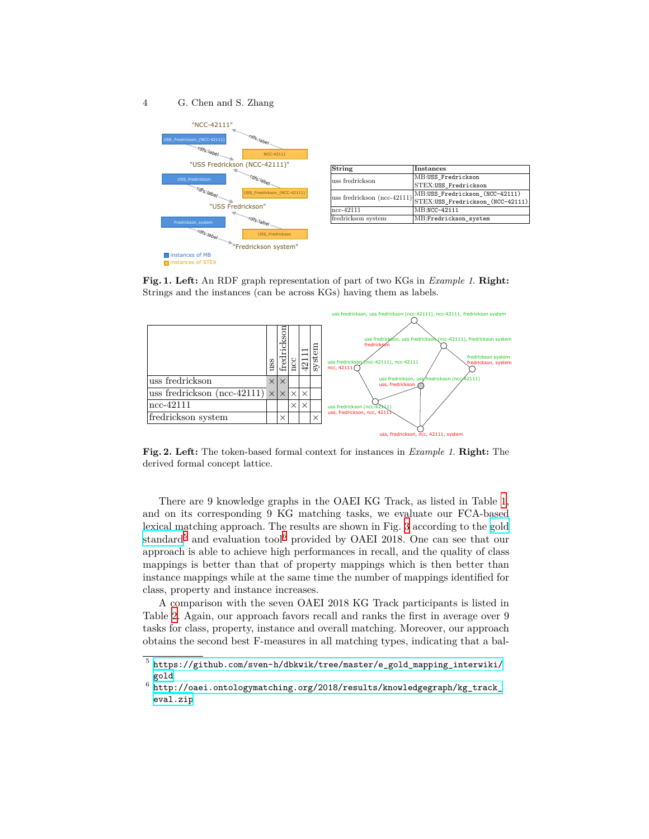

| String             | <b>Instances</b>                                                                               |
|--------------------|------------------------------------------------------------------------------------------------|
| uss fredrickson    | MB:USS Fredrickson                                                                             |
|                    | STEX:USS Fredrickson                                                                           |
|                    | uss fredrickson (ncc-42111) MB:USS_Fredrickson_(NCC-42111)<br>STEX:USS_Fredrickson_(NCC-42111) |
|                    |                                                                                                |
| $ncc-42111$        | MB:NCC-42111                                                                                   |
| fredrickson system | MB:Fredrickson_system                                                                          |

<span id="page-3-0"></span>**Fig. 1. Left:** An RDF graph representation of part of two KGs in *Example 1*. **Right:** Strings and the instances (can be across KGs) having them as labels.



<span id="page-3-1"></span>**Fig. 2. Left:** The token-based formal context for instances in *Example 1*. **Right:** The derived formal concept lattice.

There are 9 knowledge graphs in the OAEI KG Track, as listed in Table [1,](#page-4-0) and on its corresponding 9 KG matching tasks, we evaluate our FCA-based lexical matching approach. The results are shown in Fig. [3](#page-4-1) according to the [gold](https://github.com/sven-h/dbkwik/tree/master/e_gold_mapping_interwiki/gold) [standard](https://github.com/sven-h/dbkwik/tree/master/e_gold_mapping_interwiki/gold)<sup>[5](#page-3-2)</sup> and evaluation tool<sup>[6](#page-3-3)</sup> provided by OAEI 2018. One can see that our approach is able to achieve high performances in recall, and the quality of class mappings is better than that of property mappings which is then better than instance mappings while at the same time the number of mappings identified for class, property and instance increases.

A comparison with the seven OAEI 2018 KG Track participants is listed in Table [2](#page-5-0). Again, our approach favors recall and ranks the first in average over 9 tasks for class, property, instance and overall matching. Moreover, our approach obtains the second best F-measures in all matching types, indicating that a bal-

<span id="page-3-2"></span><sup>5</sup> [https://github.com/sven-h/dbkwik/tree/master/e\\_gold\\_mapping\\_interwiki/](https://github.com/sven-h/dbkwik/tree/master/e_gold_mapping_interwiki/gold) [gold](https://github.com/sven-h/dbkwik/tree/master/e_gold_mapping_interwiki/gold)

<span id="page-3-3"></span> $^6$ [http://oaei.ontologymatching.org/2018/results/knowledgegraph/kg\\_track\\_](http://oaei.ontologymatching.org/2018/results/knowledgegraph/kg_track_eval.zip) [eval.zip](http://oaei.ontologymatching.org/2018/results/knowledgegraph/kg_track_eval.zip)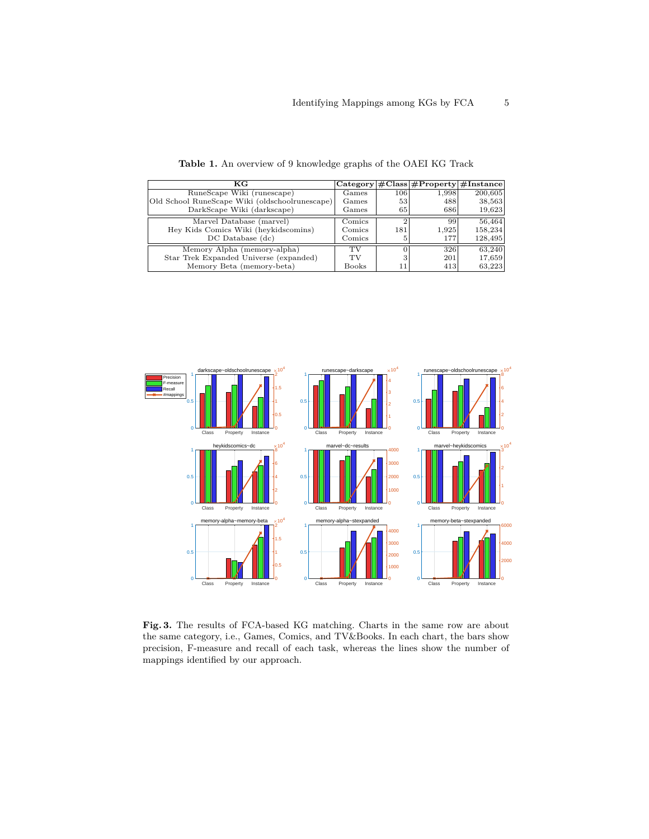| КG                                             |                          |     | $Categorical \#Class   \#Property   \#Instance $ |         |
|------------------------------------------------|--------------------------|-----|--------------------------------------------------|---------|
| RuneScape Wiki (runescape)                     | Games                    | 106 | 1,998                                            | 200,605 |
| Old School RuneScape Wiki (oldschoolrunescape) | Games                    | 53  | 488                                              | 38,563  |
| DarkScape Wiki (darkscape)                     | Games                    | 65  | 686                                              | 19,623  |
| Marvel Database (marvel)                       | Comics                   |     | 99                                               | 56,464  |
| Hey Kids Comics Wiki (heykidscomins)           | Comics                   | 181 | 1,925                                            | 158,234 |
| DC Database (dc)                               | Comics                   |     | 177                                              | 128,495 |
| Memory Alpha (memory-alpha)                    | $\overline{\mathrm{T}}V$ |     | 326                                              | 63,240  |
| Star Trek Expanded Universe (expanded)         | TV                       |     | 201                                              | 17,659  |
| Memory Beta (memory-beta)                      | <b>Books</b>             |     | 413                                              | 63,223  |

<span id="page-4-0"></span>**Table 1.** An overview of 9 knowledge graphs of the OAEI KG Track



<span id="page-4-1"></span>**Fig. 3.** The results of FCA-based KG matching. Charts in the same row are about the same category, i.e., Games, Comics, and TV&Books. In each chart, the bars show precision, F-measure and recall of each task, whereas the lines show the number of mappings identified by our approach.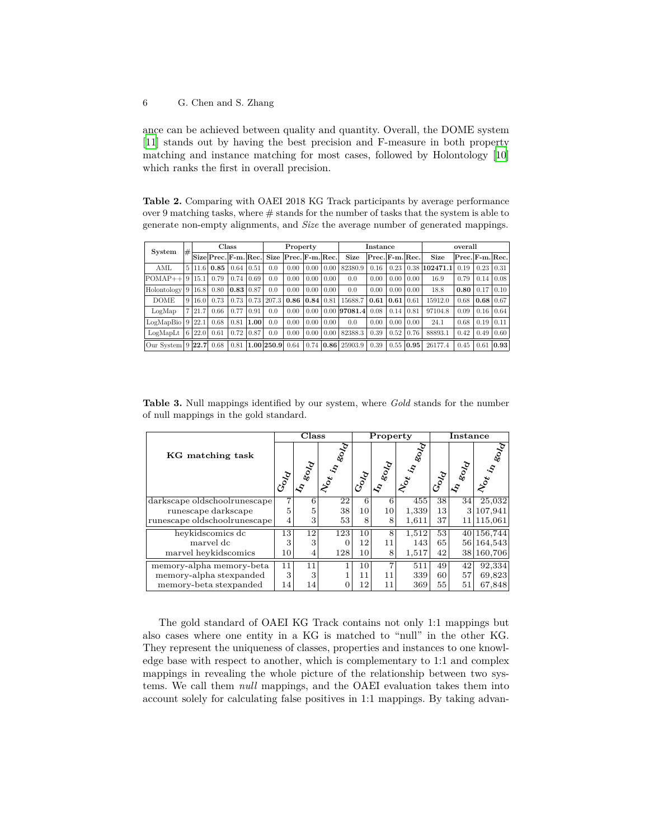ance can be achieved between quality and quantity. Overall, the DOME system [[11](#page-10-2)] stands out by having the best precision and F-measure in both property matching and instance matching for most cases, followed by Holontology [[10\]](#page-10-1) which ranks the first in overall precision.

<span id="page-5-0"></span>**Table 2.** Comparing with OAEI 2018 KG Track participants by average performance over 9 matching tasks, where # stands for the number of tasks that the system is able to generate non-empty alignments, and *Size* the average number of generated mappings.

| Class<br>#<br>System                      |   |        |                                                                                          | Property         |      |                 |                  | <b>Instance</b>    |      |                             |                 | overall |             |          |                 |                  |               |
|-------------------------------------------|---|--------|------------------------------------------------------------------------------------------|------------------|------|-----------------|------------------|--------------------|------|-----------------------------|-----------------|---------|-------------|----------|-----------------|------------------|---------------|
|                                           |   |        | $\left \mathrm{Size}\right \mathrm{Prec.}\left \mathrm{F\text{-}m.}\right \mathrm{Rec.}$ |                  |      | Size            | $Prec.F-m.$ Rec. |                    |      | <b>Size</b>                 | Prec. F-m. Rec. |         |             | Size     | Prec. F-m. Rec. |                  |               |
| AML                                       | 5 | 11.6   | 0.85                                                                                     | 0.64             | 0.51 | 0.0             | 0.00             | 0.00               | 0.00 | 82380.9                     | 0.16            | 0.23    | 0.38        | 102471.1 | 0.19            | 0.23             | 0.31          |
| $ POMAP++ $                               | 9 | 115.11 | 0.79                                                                                     | 0.74             | 0.69 | 0.0             | 0.00             | 0.00               | 0.00 | 0.0                         | 0.00            | 0.00    | 0.00        | 16.9     | 0.79            | 0.14             | 0.08          |
| Holontology                               | 9 | 16.8   | 0.80                                                                                     | $0.83 \mid 0.87$ |      | 0.0             | 0.00             | 0.00               | 0.00 | 0.0                         | 0.00            | 0.00    | 0.00        | 18.8     | 0.80            | 0.17             | 0.10          |
| <b>DOME</b>                               |   | 16.0   | 0.73                                                                                     | 0.73             | 0.73 | 207.3           | 0.86             | $\mid$ 0.84   0.81 |      | 15688.7                     | 0.61            | 0.61    | 0.61        | 15912.0  | 0.68            | 0.68             | 0.67          |
| LogMap                                    |   | 21.7   | 0.66                                                                                     | 0.77             | 0.91 | 0.0             | 0.00             | 0.00               |      | $0.00$  97081.4             | 0.08            | 0.14    | 0.81        | 97104.8  | 0.09            | 0.16             | 0.64          |
| $LogMapBio$ 9                             |   | 122.1  | 0.68                                                                                     | 0.81             | 1.00 | 0.0             | 0.00             | 0.00               | 0.00 | 0.0                         | 0.00            | 0.00    | 0.00        | 24.1     | 0.68            | $0.19 \mid 0.11$ |               |
| LogMapLt                                  | 6 | 22.0   | 0.61                                                                                     | 0.72             | 0.87 | 0.0             | 0.00             | 0.00               | 0.00 | 82388.3                     | 0.39            | 0.52    | 0.76        | 88893.1  | 0.42            | 0.49             | 0.60          |
| $\text{Our System } 9 \,   22.7 \text{ }$ |   |        | 0.68                                                                                     | 0.81             |      | 1.00 250.9 0.64 |                  |                    |      | $0.74$   $0.86$   $25903.9$ | 0.39            |         | $0.55$ 0.95 | 26177.4  | 0.45            |                  | $0.61$   0.93 |

<span id="page-5-1"></span>**Table 3.** Null mappings identified by our system, where *Gold* stands for the number of null mappings in the gold standard.

|                              |      | Class                 |                                                             |      | Property              |                                                | Instance |                       |                               |  |
|------------------------------|------|-----------------------|-------------------------------------------------------------|------|-----------------------|------------------------------------------------|----------|-----------------------|-------------------------------|--|
| KG matching task             | Code | eola<br>$\mathcal{L}$ | <b>Sold</b><br>$\bar{\gamma}^{\circ}_{\delta_{\bm{\zeta}}}$ | Code | eolo<br>$\mathcal{L}$ | <b>Sold</b><br>$\bar{\gamma}^{\circ}_{\delta}$ | code     | eola<br>$\mathcal{L}$ | eola<br>$\check{\mathcal{E}}$ |  |
| darkscape oldschoolrunescape | 7    | 6                     | 22                                                          | 6    | 6                     | 455                                            | 38       | 34                    | 25,032                        |  |
| runescape darkscape          | 5    | 5                     | 38                                                          | 10   | 10                    | 1,339                                          | 13       | 3                     | 107,941                       |  |
| runescape oldschoolrunescape | 4    | 3                     | 53                                                          | 8    | 8                     | 1,611                                          | 37       | 11                    | 115,061                       |  |
| heykidscomics dc             | 13   | 12                    | 123                                                         | 10   | 8                     | 1.512                                          | 53       | 40                    | 156,744                       |  |
| marvel dc                    | 3    | 3                     |                                                             | 12   | 11                    | 143                                            | 65       |                       | 56 164, 543                   |  |
| marvel heykidscomics         | 10   | 4                     | 128                                                         | 10   | 8                     | 1,517                                          | 42       | 38                    | 160,706                       |  |
| memory-alpha memory-beta     | 11   | 11                    |                                                             | 10   | ⇁                     | 511                                            | 49       | 42                    | 92,334                        |  |
| memory-alpha stexpanded      | 3    | 3                     |                                                             | 11   | 11                    | 339                                            | 60       | 57                    | 69,823                        |  |
| memory-beta stexpanded       | 14   | 14                    |                                                             | 12   | 11                    | 369                                            | 55       | 51                    | 67,848                        |  |

The gold standard of OAEI KG Track contains not only 1:1 mappings but also cases where one entity in a KG is matched to "null" in the other KG. They represent the uniqueness of classes, properties and instances to one knowledge base with respect to another, which is complementary to 1:1 and complex mappings in revealing the whole picture of the relationship between two systems. We call them *null* mappings, and the OAEI evaluation takes them into account solely for calculating false positives in 1:1 mappings. By taking advan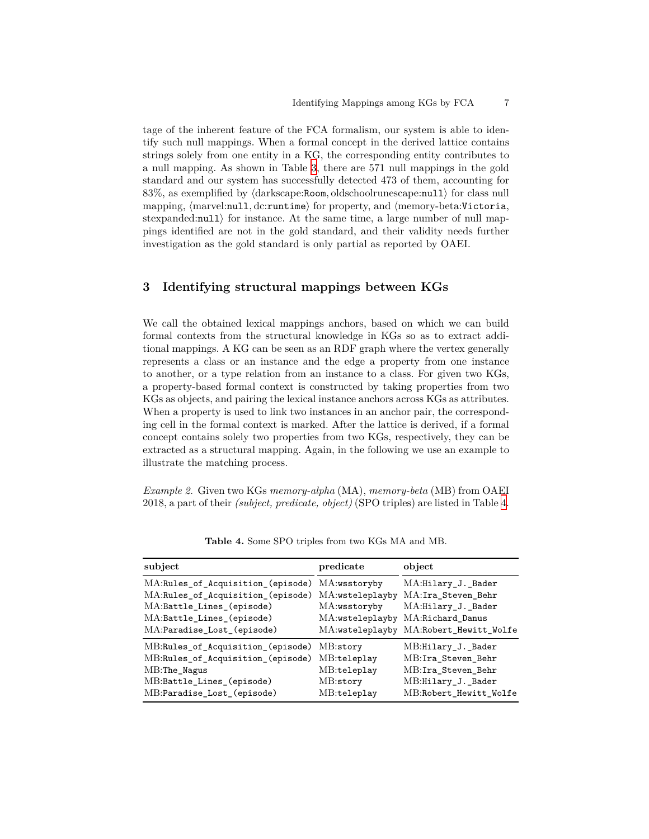tage of the inherent feature of the FCA formalism, our system is able to identify such null mappings. When a formal concept in the derived lattice contains strings solely from one entity in a KG, the corresponding entity contributes to a null mapping. As shown in Table [3,](#page-5-1) there are 571 null mappings in the gold standard and our system has successfully detected 473 of them, accounting for 83%, as exemplified by *⟨*darkscape:Room*,* oldschoolrunescape:null*⟩* for class null mapping, *⟨*marvel:null*,* dc:runtime*⟩* for property, and *⟨*memory-beta:Victoria, stexpanded:null*⟩* for instance. At the same time, a large number of null mappings identified are not in the gold standard, and their validity needs further investigation as the gold standard is only partial as reported by OAEI.

## **3 Identifying structural mappings between KGs**

We call the obtained lexical mappings anchors, based on which we can build formal contexts from the structural knowledge in KGs so as to extract additional mappings. A KG can be seen as an RDF graph where the vertex generally represents a class or an instance and the edge a property from one instance to another, or a type relation from an instance to a class. For given two KGs, a property-based formal context is constructed by taking properties from two KGs as objects, and pairing the lexical instance anchors across KGs as attributes. When a property is used to link two instances in an anchor pair, the corresponding cell in the formal context is marked. After the lattice is derived, if a formal concept contains solely two properties from two KGs, respectively, they can be extracted as a structural mapping. Again, in the following we use an example to illustrate the matching process.

*Example 2.* Given two KGs *memory-alpha* (MA), *memory-beta* (MB) from OAEI 2018, a part of their *(subject, predicate, object)* (SPO triples) are listed in Table [4.](#page-6-0)

| subject                           | predicate       | object                 |
|-----------------------------------|-----------------|------------------------|
| MA:Rules_of_Acquisition_(episode) | MA:wsstoryby    | MA:Hilary_J._Bader     |
| MA:Rules_of_Acquisition_(episode) | MA:wsteleplayby | MA:Ira_Steven_Behr     |
| MA:Battle_Lines_(episode)         | MA:wsstoryby    | MA:Hilary_J._Bader     |
| MA:Battle_Lines_(episode)         | MA:wsteleplayby | MA: Richard Danus      |
| MA:Paradise_Lost_(episode)        | MA:wsteleplayby | MA:Robert_Hewitt_Wolfe |
| MB:Rules_of_Acquisition_(episode) | $MB:$ story     | MB:Hilary_J._Bader     |
| MB:Rules_of_Acquisition_(episode) | MB:teleplay     | MB: Ira_Steven_Behr    |
| MB:The_Nagus                      | MB:teleplay     | MB: Ira_Steven_Behr    |
| MB:Battle_Lines_(episode)         | MB:story        | MB:Hilary_J._Bader     |
| MB:Paradise_Lost_(episode)        | MB:teleplay     | MB:Robert_Hewitt_Wolfe |

<span id="page-6-0"></span>**Table 4.** Some SPO triples from two KGs MA and MB.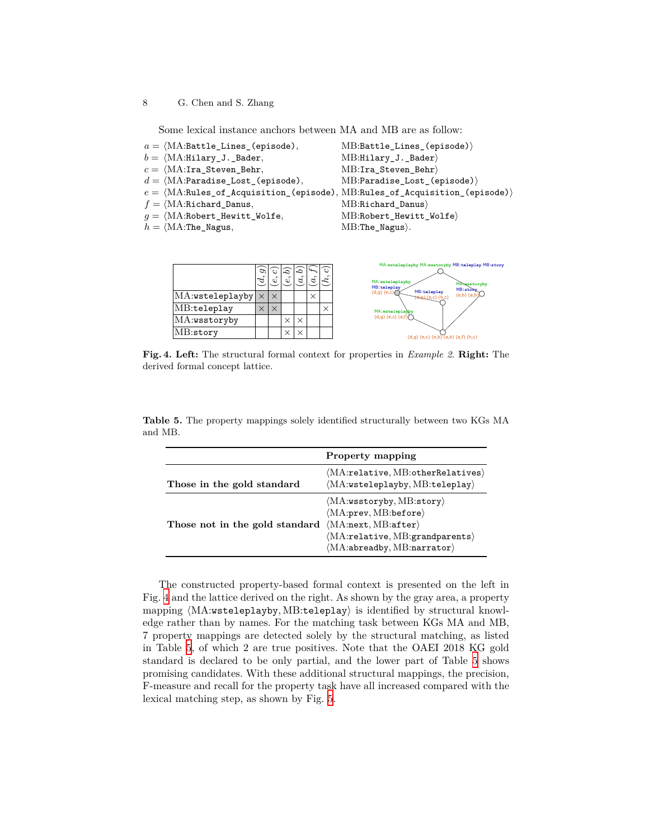Some lexical instance anchors between MA and MB are as follow:

- 
- 
- 
- *d* =  $\langle MA:Paradise_loss_c(t)$ <sub>⊆</sub>(episode),
- 
- 
- 
- $h = \langle MA:$ The\_Nagus,

```
a = ⟨MA:Battle_Lines_(episode), MB:Battle_Lines_(episode)⟩
b = ⟨MA:Hilary_J._Bader, MB:Hilary_J._Bader⟩
c = ⟨MA:Ira_Steven_Behr, MB:Ira_Steven_Behr⟩
e = ⟨MA:Rules_of_Acquisition_(episode), MB:Rules_of_Acquisition_(episode)⟩
f = \langleMA:Richard_Danus, MB:Richard_Danus\rangle<br>g = \langleMA:Robert_Hewitt_Wolfe, MB:Robert_Hewitt_Wolfe\rangleg = \langleMA:Robert_Hewitt_Wolfe, MB:Robert_Hew:<br>
h = \langleMA:The_Nagus, MB:The_Nagus
```

|                              | 0<br>$\vec{a}$ |          |          | ءَ       |          | Ō<br>$\sim$<br>$\boldsymbol{r}$ |
|------------------------------|----------------|----------|----------|----------|----------|---------------------------------|
| $ \mathrm{MA:}$ wsteleplayby | $\times$       | $\times$ |          |          | $\times$ |                                 |
| $MB:$ teleplay               | $\times$       | $\times$ |          |          |          | $\times$                        |
| MA:wsstoryby                 |                |          |          |          |          |                                 |
| $MB:$ story                  |                |          | $\times$ | $\times$ |          |                                 |

<span id="page-7-0"></span>**Fig. 4. Left:** The structural formal context for properties in *Example 2*. **Right:** The derived formal concept lattice.

<span id="page-7-1"></span>

|                                | Property mapping                                                                                                                                                                                                           |
|--------------------------------|----------------------------------------------------------------------------------------------------------------------------------------------------------------------------------------------------------------------------|
| Those in the gold standard     | $\langle MA:relative, MB:otherRelatives \rangle$<br>$\langle MA:$ wsteleplayby, MB:teleplay $\rangle$                                                                                                                      |
| Those not in the gold standard | $\langle MA:$ wsstoryby, MB:story $\rangle$<br>$\langle MA:prev, MB:before \rangle$<br>$\langle MA:next, MB:after \rangle$<br>$\langle MA:relative, MB:grandparents \rangle$<br>$\langle MA:abreadby, MB:narrator \rangle$ |

**Table 5.** The property mappings solely identified structurally between two KGs MA and MB.

The constructed property-based formal context is presented on the left in Fig. [4](#page-7-0) and the lattice derived on the right. As shown by the gray area, a property mapping *⟨*MA:wsteleplayby*,* MB:teleplay*⟩* is identified by structural knowledge rather than by names. For the matching task between KGs MA and MB, 7 property mappings are detected solely by the structural matching, as listed in Table [5,](#page-7-1) of which 2 are true positives. Note that the OAEI 2018 KG gold standard is declared to be only partial, and the lower part of Table [5](#page-7-1) shows promising candidates. With these additional structural mappings, the precision, F-measure and recall for the property task have all increased compared with the lexical matching step, as shown by Fig. [5](#page-8-0).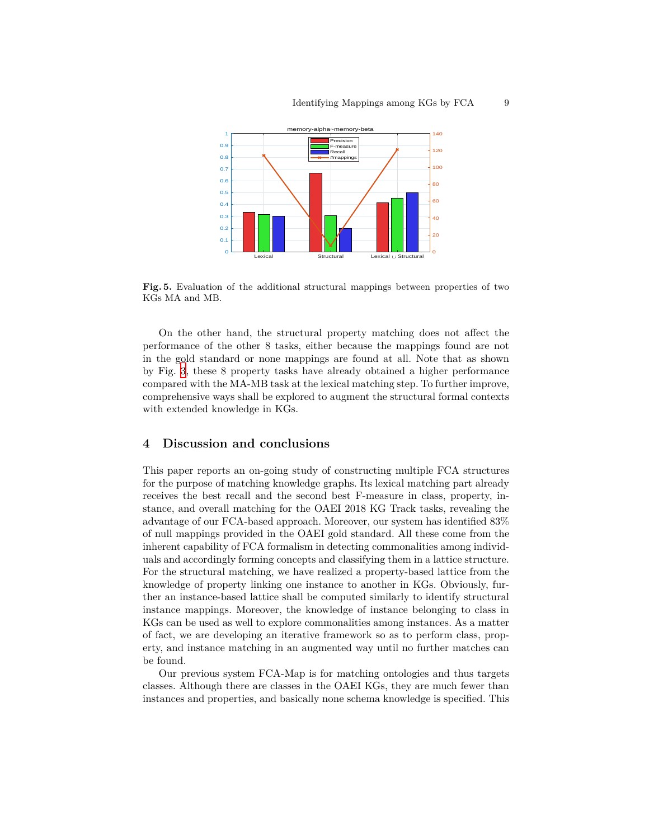

<span id="page-8-0"></span>**Fig. 5.** Evaluation of the additional structural mappings between properties of two KGs MA and MB.

On the other hand, the structural property matching does not affect the performance of the other 8 tasks, either because the mappings found are not in the gold standard or none mappings are found at all. Note that as shown by Fig. [3](#page-4-1), these 8 property tasks have already obtained a higher performance compared with the MA-MB task at the lexical matching step. To further improve, comprehensive ways shall be explored to augment the structural formal contexts with extended knowledge in KGs.

# **4 Discussion and conclusions**

This paper reports an on-going study of constructing multiple FCA structures for the purpose of matching knowledge graphs. Its lexical matching part already receives the best recall and the second best F-measure in class, property, instance, and overall matching for the OAEI 2018 KG Track tasks, revealing the advantage of our FCA-based approach. Moreover, our system has identified 83% of null mappings provided in the OAEI gold standard. All these come from the inherent capability of FCA formalism in detecting commonalities among individuals and accordingly forming concepts and classifying them in a lattice structure. For the structural matching, we have realized a property-based lattice from the knowledge of property linking one instance to another in KGs. Obviously, further an instance-based lattice shall be computed similarly to identify structural instance mappings. Moreover, the knowledge of instance belonging to class in KGs can be used as well to explore commonalities among instances. As a matter of fact, we are developing an iterative framework so as to perform class, property, and instance matching in an augmented way until no further matches can be found.

Our previous system FCA-Map is for matching ontologies and thus targets classes. Although there are classes in the OAEI KGs, they are much fewer than instances and properties, and basically none schema knowledge is specified. This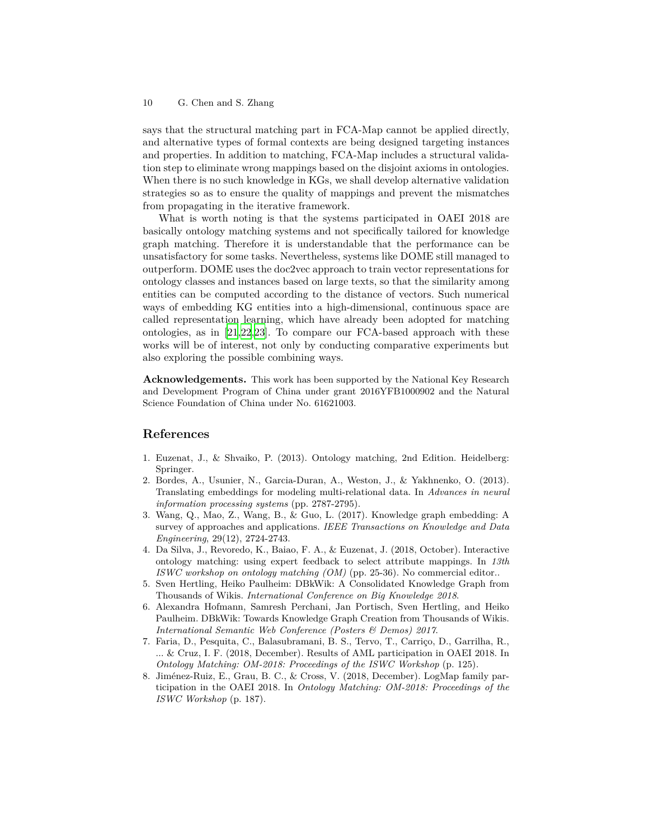says that the structural matching part in FCA-Map cannot be applied directly, and alternative types of formal contexts are being designed targeting instances and properties. In addition to matching, FCA-Map includes a structural validation step to eliminate wrong mappings based on the disjoint axioms in ontologies. When there is no such knowledge in KGs, we shall develop alternative validation strategies so as to ensure the quality of mappings and prevent the mismatches from propagating in the iterative framework.

What is worth noting is that the systems participated in OAEI 2018 are basically ontology matching systems and not specifically tailored for knowledge graph matching. Therefore it is understandable that the performance can be unsatisfactory for some tasks. Nevertheless, systems like DOME still managed to outperform. DOME uses the doc2vec approach to train vector representations for ontology classes and instances based on large texts, so that the similarity among entities can be computed according to the distance of vectors. Such numerical ways of embedding KG entities into a high-dimensional, continuous space are called representation learning, which have already been adopted for matching ontologies, as in [[21,](#page-10-12)[22](#page-10-13)[,23](#page-10-14)]. To compare our FCA-based approach with these works will be of interest, not only by conducting comparative experiments but also exploring the possible combining ways.

**Acknowledgements.** This work has been supported by the National Key Research and Development Program of China under grant 2016YFB1000902 and the Natural Science Foundation of China under No. 61621003.

## **References**

- 1. Euzenat, J., & Shvaiko, P. (2013). Ontology matching, 2nd Edition. Heidelberg: Springer.
- <span id="page-9-0"></span>2. Bordes, A., Usunier, N., Garcia-Duran, A., Weston, J., & Yakhnenko, O. (2013). Translating embeddings for modeling multi-relational data. In *Advances in neural information processing systems* (pp. 2787-2795).
- <span id="page-9-1"></span>3. Wang, Q., Mao, Z., Wang, B., & Guo, L. (2017). Knowledge graph embedding: A survey of approaches and applications. *IEEE Transactions on Knowledge and Data Engineering*, 29(12), 2724-2743.
- 4. Da Silva, J., Revoredo, K., Baiao, F. A., & Euzenat, J. (2018, October). Interactive ontology matching: using expert feedback to select attribute mappings. In *13th ISWC workshop on ontology matching (OM)* (pp. 25-36). No commercial editor..
- <span id="page-9-2"></span>5. Sven Hertling, Heiko Paulheim: DBkWik: A Consolidated Knowledge Graph from Thousands of Wikis. *International Conference on Big Knowledge 2018*.
- <span id="page-9-3"></span>6. Alexandra Hofmann, Samresh Perchani, Jan Portisch, Sven Hertling, and Heiko Paulheim. DBkWik: Towards Knowledge Graph Creation from Thousands of Wikis. *International Semantic Web Conference (Posters & Demos) 2017*.
- <span id="page-9-4"></span>7. Faria, D., Pesquita, C., Balasubramani, B. S., Tervo, T., Carriço, D., Garrilha, R., ... & Cruz, I. F. (2018, December). Results of AML participation in OAEI 2018. In *Ontology Matching: OM-2018: Proceedings of the ISWC Workshop* (p. 125).
- <span id="page-9-5"></span>8. Jiménez-Ruiz, E., Grau, B. C., & Cross, V. (2018, December). LogMap family participation in the OAEI 2018. In *Ontology Matching: OM-2018: Proceedings of the ISWC Workshop* (p. 187).